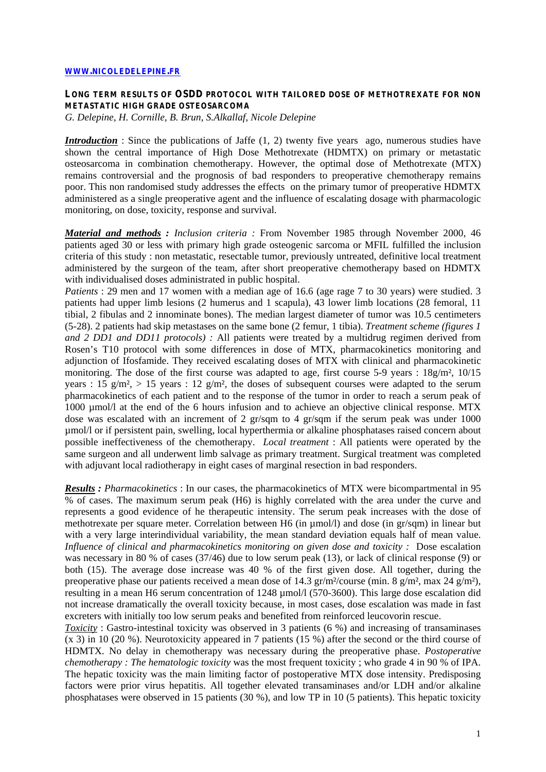## **[WWW.NICOLEDELEPINE.FR](http://www.nicoledelepine.fr/)**

## **LONG TERM RESULTS OF OSDD PROTOCOL WITH TAILORED DOSE OF METHOTREXATE FOR NON METASTATIC HIGH GRADE OSTEOSARCOMA**

*G. Delepine, H. Cornille, B. Brun, S.Alkallaf, Nicole Delepine*

*Introduction* : Since the publications of Jaffe (1, 2) twenty five years ago, numerous studies have shown the central importance of High Dose Methotrexate (HDMTX) on primary or metastatic osteosarcoma in combination chemotherapy. However, the optimal dose of Methotrexate (MTX) remains controversial and the prognosis of bad responders to preoperative chemotherapy remains poor. This non randomised study addresses the effects on the primary tumor of preoperative HDMTX administered as a single preoperative agent and the influence of escalating dosage with pharmacologic monitoring, on dose, toxicity, response and survival.

*Material and methods : Inclusion criteria :* From November 1985 through November 2000, 46 patients aged 30 or less with primary high grade osteogenic sarcoma or MFIL fulfilled the inclusion criteria of this study : non metastatic, resectable tumor, previously untreated, definitive local treatment administered by the surgeon of the team, after short preoperative chemotherapy based on HDMTX with individualised doses administrated in public hospital.

*Patients* : 29 men and 17 women with a median age of 16.6 (age rage 7 to 30 years) were studied. 3 patients had upper limb lesions (2 humerus and 1 scapula), 43 lower limb locations (28 femoral, 11 tibial, 2 fibulas and 2 innominate bones). The median largest diameter of tumor was 10.5 centimeters (5-28). 2 patients had skip metastases on the same bone (2 femur, 1 tibia). *Treatment scheme (figures 1 and 2 DD1 and DD11 protocols) :* All patients were treated by a multidrug regimen derived from Rosen's T10 protocol with some differences in dose of MTX, pharmacokinetics monitoring and adjunction of Ifosfamide. They received escalating doses of MTX with clinical and pharmacokinetic monitoring. The dose of the first course was adapted to age, first course 5-9 years :  $18g/m^2$ ,  $10/15$ years : 15 g/m², > 15 years : 12 g/m², the doses of subsequent courses were adapted to the serum pharmacokinetics of each patient and to the response of the tumor in order to reach a serum peak of 1000 µmol/l at the end of the 6 hours infusion and to achieve an objective clinical response. MTX dose was escalated with an increment of 2 gr/sqm to 4 gr/sqm if the serum peak was under 1000 µmol/l or if persistent pain, swelling, local hyperthermia or alkaline phosphatases raised concern about possible ineffectiveness of the chemotherapy. *Local treatment* : All patients were operated by the same surgeon and all underwent limb salvage as primary treatment. Surgical treatment was completed with adjuvant local radiotherapy in eight cases of marginal resection in bad responders.

*Results : Pharmacokinetics* : In our cases, the pharmacokinetics of MTX were bicompartmental in 95 % of cases. The maximum serum peak (H6) is highly correlated with the area under the curve and represents a good evidence of he therapeutic intensity. The serum peak increases with the dose of methotrexate per square meter. Correlation between H6 (in µmol/l) and dose (in gr/sqm) in linear but with a very large interindividual variability, the mean standard deviation equals half of mean value. *Influence of clinical and pharmacokinetics monitoring on given dose and toxicity :* Dose escalation was necessary in 80 % of cases (37/46) due to low serum peak (13), or lack of clinical response (9) or both (15). The average dose increase was 40 % of the first given dose. All together, during the preoperative phase our patients received a mean dose of 14.3 gr/m²/course (min. 8 g/m², max 24 g/m²), resulting in a mean H6 serum concentration of 1248 µmol/l (570-3600). This large dose escalation did not increase dramatically the overall toxicity because, in most cases, dose escalation was made in fast excreters with initially too low serum peaks and benefited from reinforced leucovorin rescue.

*Toxicity* : Gastro-intestinal toxicity was observed in 3 patients (6 %) and increasing of transaminases (x 3) in 10 (20 %). Neurotoxicity appeared in 7 patients (15 %) after the second or the third course of HDMTX. No delay in chemotherapy was necessary during the preoperative phase. *Postoperative chemotherapy : The hematologic toxicity* was the most frequent toxicity ; who grade 4 in 90 % of IPA. The hepatic toxicity was the main limiting factor of postoperative MTX dose intensity. Predisposing factors were prior virus hepatitis. All together elevated transaminases and/or LDH and/or alkaline phosphatases were observed in 15 patients (30 %), and low TP in 10 (5 patients). This hepatic toxicity